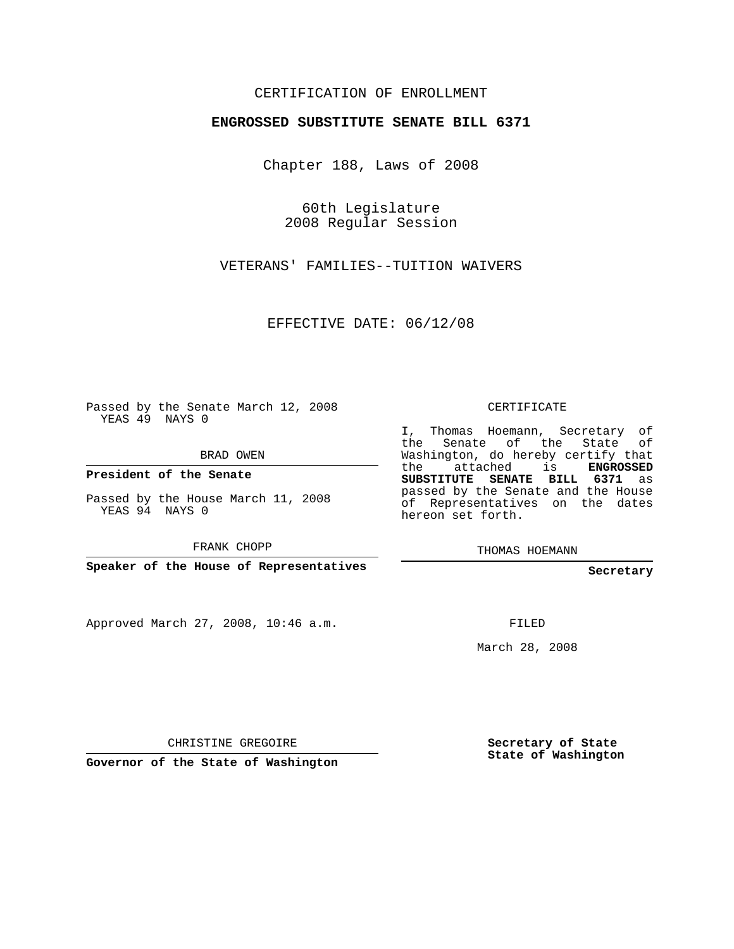## CERTIFICATION OF ENROLLMENT

## **ENGROSSED SUBSTITUTE SENATE BILL 6371**

Chapter 188, Laws of 2008

60th Legislature 2008 Regular Session

VETERANS' FAMILIES--TUITION WAIVERS

EFFECTIVE DATE: 06/12/08

Passed by the Senate March 12, 2008 YEAS 49 NAYS 0

BRAD OWEN

**President of the Senate**

Passed by the House March 11, 2008 YEAS 94 NAYS 0

FRANK CHOPP

**Speaker of the House of Representatives**

Approved March 27, 2008, 10:46 a.m.

CERTIFICATE

I, Thomas Hoemann, Secretary of the Senate of the State of Washington, do hereby certify that the attached is **ENGROSSED SUBSTITUTE SENATE BILL 6371** as passed by the Senate and the House of Representatives on the dates hereon set forth.

THOMAS HOEMANN

**Secretary**

FILED

March 28, 2008

CHRISTINE GREGOIRE

**Governor of the State of Washington**

**Secretary of State State of Washington**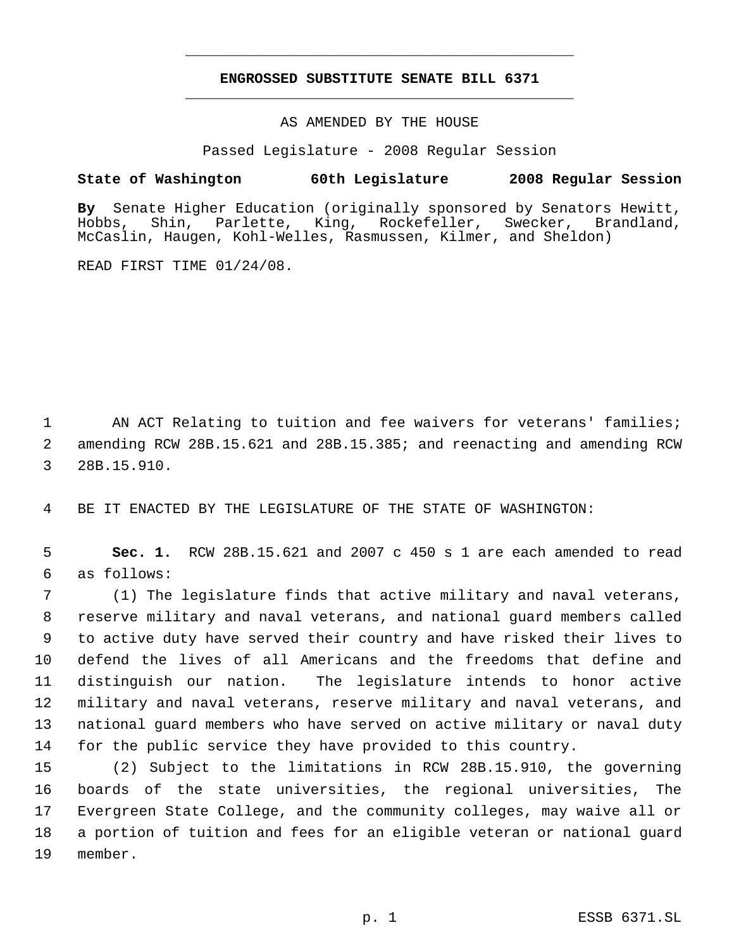## **ENGROSSED SUBSTITUTE SENATE BILL 6371** \_\_\_\_\_\_\_\_\_\_\_\_\_\_\_\_\_\_\_\_\_\_\_\_\_\_\_\_\_\_\_\_\_\_\_\_\_\_\_\_\_\_\_\_\_

\_\_\_\_\_\_\_\_\_\_\_\_\_\_\_\_\_\_\_\_\_\_\_\_\_\_\_\_\_\_\_\_\_\_\_\_\_\_\_\_\_\_\_\_\_

AS AMENDED BY THE HOUSE

Passed Legislature - 2008 Regular Session

## **State of Washington 60th Legislature 2008 Regular Session**

**By** Senate Higher Education (originally sponsored by Senators Hewitt, Hobbs, Shin, Parlette, King, Rockefeller, Swecker, Brandland, McCaslin, Haugen, Kohl-Welles, Rasmussen, Kilmer, and Sheldon)

READ FIRST TIME 01/24/08.

1 AN ACT Relating to tuition and fee waivers for veterans' families; 2 amending RCW 28B.15.621 and 28B.15.385; and reenacting and amending RCW 3 28B.15.910.

4 BE IT ENACTED BY THE LEGISLATURE OF THE STATE OF WASHINGTON:

 5 **Sec. 1.** RCW 28B.15.621 and 2007 c 450 s 1 are each amended to read 6 as follows:

 (1) The legislature finds that active military and naval veterans, reserve military and naval veterans, and national guard members called to active duty have served their country and have risked their lives to defend the lives of all Americans and the freedoms that define and distinguish our nation. The legislature intends to honor active military and naval veterans, reserve military and naval veterans, and national guard members who have served on active military or naval duty for the public service they have provided to this country.

 (2) Subject to the limitations in RCW 28B.15.910, the governing boards of the state universities, the regional universities, The Evergreen State College, and the community colleges, may waive all or a portion of tuition and fees for an eligible veteran or national guard 19 member.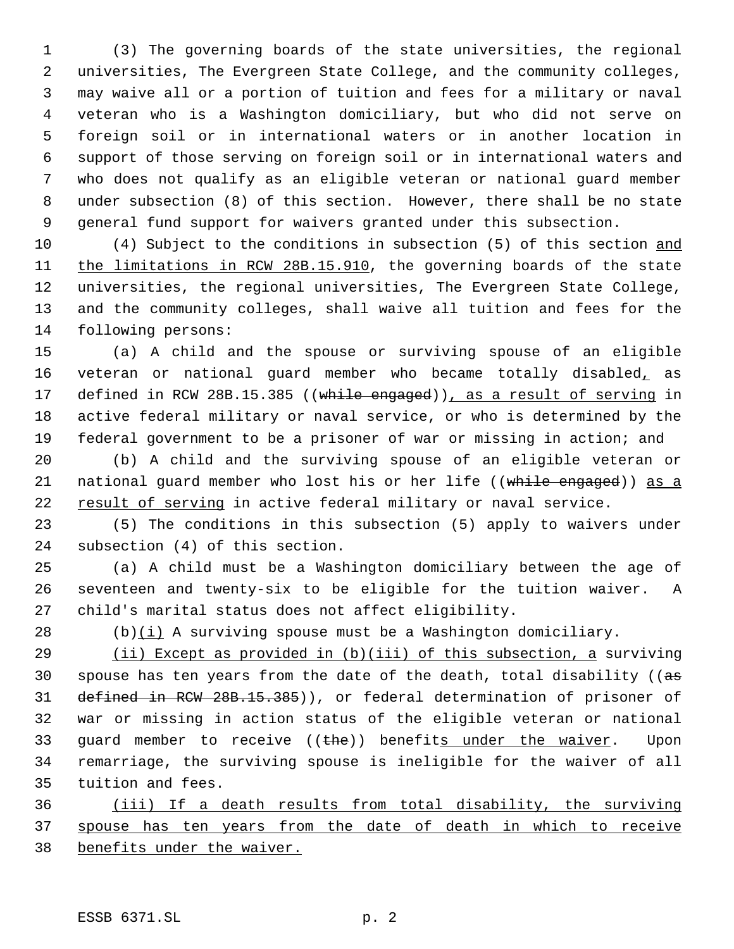(3) The governing boards of the state universities, the regional universities, The Evergreen State College, and the community colleges, may waive all or a portion of tuition and fees for a military or naval veteran who is a Washington domiciliary, but who did not serve on foreign soil or in international waters or in another location in support of those serving on foreign soil or in international waters and who does not qualify as an eligible veteran or national guard member under subsection (8) of this section. However, there shall be no state general fund support for waivers granted under this subsection.

 (4) Subject to the conditions in subsection (5) of this section and 11 the limitations in RCW 28B.15.910, the governing boards of the state universities, the regional universities, The Evergreen State College, and the community colleges, shall waive all tuition and fees for the following persons:

 (a) A child and the spouse or surviving spouse of an eligible 16 veteran or national guard member who became totally disabled, as 17 defined in RCW 28B.15.385 ((while engaged)), as a result of serving in active federal military or naval service, or who is determined by the federal government to be a prisoner of war or missing in action; and

 (b) A child and the surviving spouse of an eligible veteran or 21 national quard member who lost his or her life ((while engaged)) as a result of serving in active federal military or naval service.

 (5) The conditions in this subsection (5) apply to waivers under subsection (4) of this section.

 (a) A child must be a Washington domiciliary between the age of seventeen and twenty-six to be eligible for the tuition waiver. A child's marital status does not affect eligibility.

28 (b) $(i)$  A surviving spouse must be a Washington domiciliary.

 (ii) Except as provided in (b)(iii) of this subsection, a surviving 30 spouse has ten years from the date of the death, total disability ( $(a\sigma)$  defined in RCW 28B.15.385)), or federal determination of prisoner of war or missing in action status of the eligible veteran or national 33 quard member to receive  $((the)^2$ ) benefits under the waiver. Upon remarriage, the surviving spouse is ineligible for the waiver of all tuition and fees.

 (iii) If a death results from total disability, the surviving spouse has ten years from the date of death in which to receive benefits under the waiver.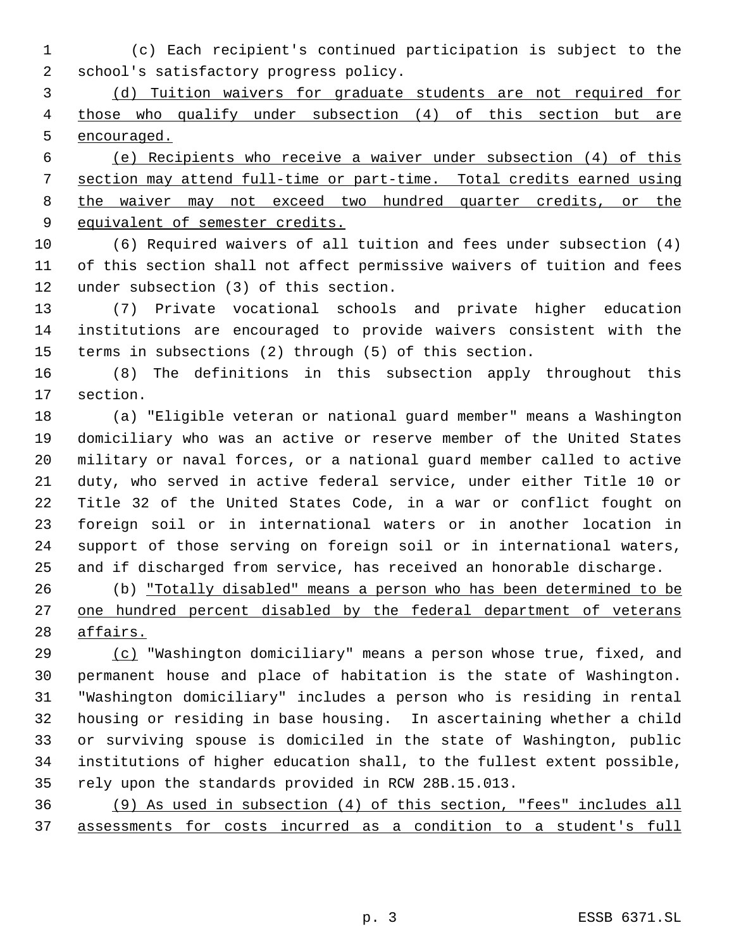1 (c) Each recipient's continued participation is subject to the school's satisfactory progress policy.

 (d) Tuition waivers for graduate students are not required for those who qualify under subsection (4) of this section but are encouraged.

 (e) Recipients who receive a waiver under subsection (4) of this section may attend full-time or part-time. Total credits earned using 8 the waiver may not exceed two hundred quarter credits, or the 9 equivalent of semester credits.

 (6) Required waivers of all tuition and fees under subsection (4) of this section shall not affect permissive waivers of tuition and fees under subsection (3) of this section.

 (7) Private vocational schools and private higher education institutions are encouraged to provide waivers consistent with the terms in subsections (2) through (5) of this section.

 (8) The definitions in this subsection apply throughout this section.

 (a) "Eligible veteran or national guard member" means a Washington domiciliary who was an active or reserve member of the United States military or naval forces, or a national guard member called to active duty, who served in active federal service, under either Title 10 or Title 32 of the United States Code, in a war or conflict fought on foreign soil or in international waters or in another location in support of those serving on foreign soil or in international waters, and if discharged from service, has received an honorable discharge.

 (b) "Totally disabled" means a person who has been determined to be 27 one hundred percent disabled by the federal department of veterans affairs.

 (c) "Washington domiciliary" means a person whose true, fixed, and permanent house and place of habitation is the state of Washington. "Washington domiciliary" includes a person who is residing in rental housing or residing in base housing. In ascertaining whether a child or surviving spouse is domiciled in the state of Washington, public institutions of higher education shall, to the fullest extent possible, rely upon the standards provided in RCW 28B.15.013.

 (9) As used in subsection (4) of this section, "fees" includes all assessments for costs incurred as a condition to a student's full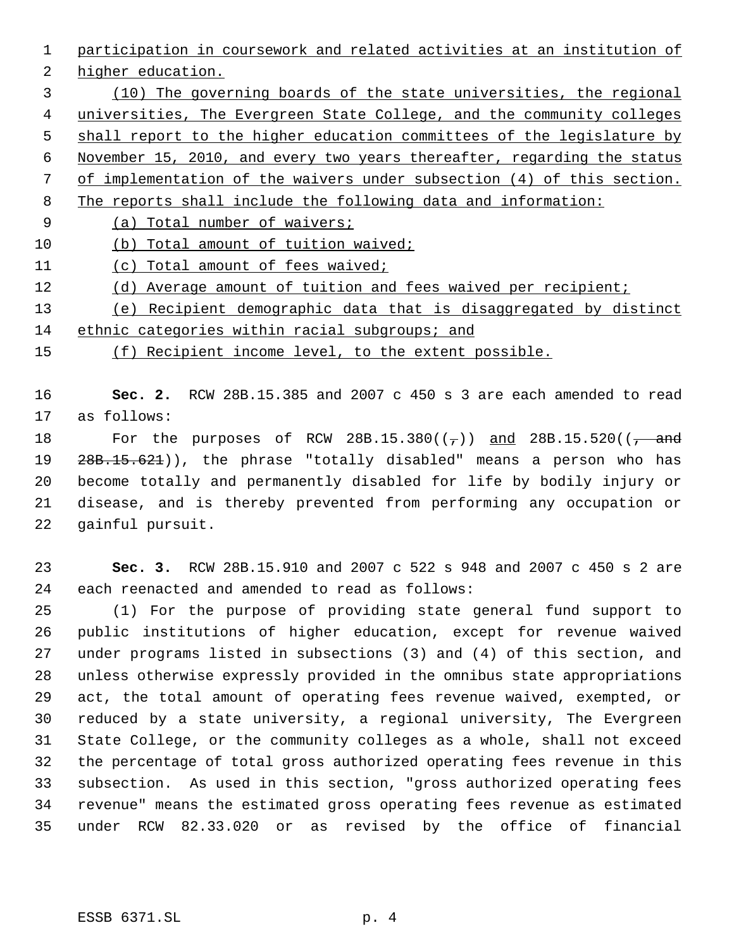participation in coursework and related activities at an institution of

higher education.

 (10) The governing boards of the state universities, the regional universities, The Evergreen State College, and the community colleges 5 shall report to the higher education committees of the legislature by November 15, 2010, and every two years thereafter, regarding the status of implementation of the waivers under subsection (4) of this section. The reports shall include the following data and information: 9 (a) Total number of waivers;

(b) Total amount of tuition waived;

(c) Total amount of fees waived;

- 12 (d) Average amount of tuition and fees waived per recipient;
- (e) Recipient demographic data that is disaggregated by distinct

ethnic categories within racial subgroups; and

(f) Recipient income level, to the extent possible.

 **Sec. 2.** RCW 28B.15.385 and 2007 c 450 s 3 are each amended to read as follows:

18 For the purposes of RCW  $28B.15.380((\tau))$  and  $28B.15.520((\tau))$ 19 28B.15.621)), the phrase "totally disabled" means a person who has become totally and permanently disabled for life by bodily injury or disease, and is thereby prevented from performing any occupation or gainful pursuit.

 **Sec. 3.** RCW 28B.15.910 and 2007 c 522 s 948 and 2007 c 450 s 2 are each reenacted and amended to read as follows:

 (1) For the purpose of providing state general fund support to public institutions of higher education, except for revenue waived under programs listed in subsections (3) and (4) of this section, and unless otherwise expressly provided in the omnibus state appropriations act, the total amount of operating fees revenue waived, exempted, or reduced by a state university, a regional university, The Evergreen State College, or the community colleges as a whole, shall not exceed the percentage of total gross authorized operating fees revenue in this subsection. As used in this section, "gross authorized operating fees revenue" means the estimated gross operating fees revenue as estimated under RCW 82.33.020 or as revised by the office of financial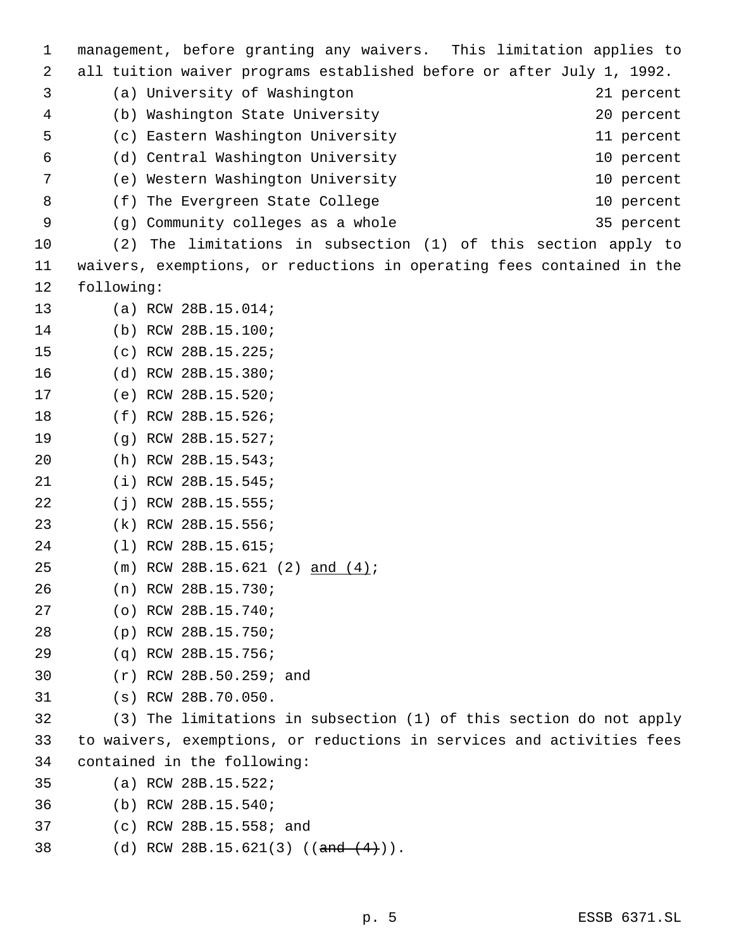management, before granting any waivers. This limitation applies to all tuition waiver programs established before or after July 1, 1992. (a) University of Washington 21 percent (b) Washington State University 20 percent (c) Eastern Washington University 11 percent (d) Central Washington University 10 percent (e) Western Washington University 10 percent 8 (f) The Evergreen State College 10 percent 9 (g) Community colleges as a whole 35 percent (2) The limitations in subsection (1) of this section apply to waivers, exemptions, or reductions in operating fees contained in the following: (a) RCW 28B.15.014; (b) RCW 28B.15.100; (c) RCW 28B.15.225; (d) RCW 28B.15.380; (e) RCW 28B.15.520; (f) RCW 28B.15.526; (g) RCW 28B.15.527; (h) RCW 28B.15.543; (i) RCW 28B.15.545; (j) RCW 28B.15.555; (k) RCW 28B.15.556; (l) RCW 28B.15.615; (m) RCW 28B.15.621 (2) and (4); (n) RCW 28B.15.730; (o) RCW 28B.15.740; (p) RCW 28B.15.750; (q) RCW 28B.15.756; (r) RCW 28B.50.259; and (s) RCW 28B.70.050. (3) The limitations in subsection (1) of this section do not apply to waivers, exemptions, or reductions in services and activities fees contained in the following: (a) RCW 28B.15.522; (b) RCW 28B.15.540; (c) RCW 28B.15.558; and 38 (d) RCW 28B.15.621(3) ((and (4))).